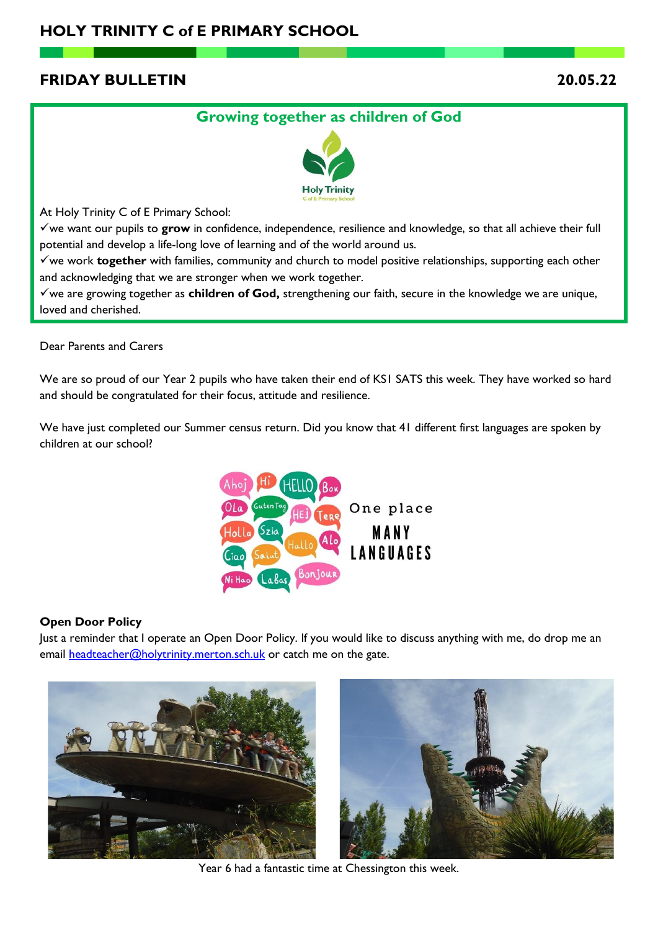# **FRIDAY BULLETIN 20.05.22**

## **Growing together as children of God**



At Holy Trinity C of E Primary School:

✓we want our pupils to **grow** in confidence, independence, resilience and knowledge, so that all achieve their full potential and develop a life-long love of learning and of the world around us.

✓we work **together** with families, community and church to model positive relationships, supporting each other and acknowledging that we are stronger when we work together.

✓we are growing together as **children of God,** strengthening our faith, secure in the knowledge we are unique, loved and cherished.

Dear Parents and Carers

We are so proud of our Year 2 pupils who have taken their end of KS1 SATS this week. They have worked so hard and should be congratulated for their focus, attitude and resilience.

We have just completed our Summer census return. Did you know that 41 different first languages are spoken by children at our school?



### **Open Door Policy**

Just a reminder that I operate an Open Door Policy. If you would like to discuss anything with me, do drop me an email [headteacher@holytrinity.merton.sch.uk](mailto:headteacher@holytrinity.merton.sch.uk) or catch me on the gate.



Year 6 had a fantastic time at Chessington this week.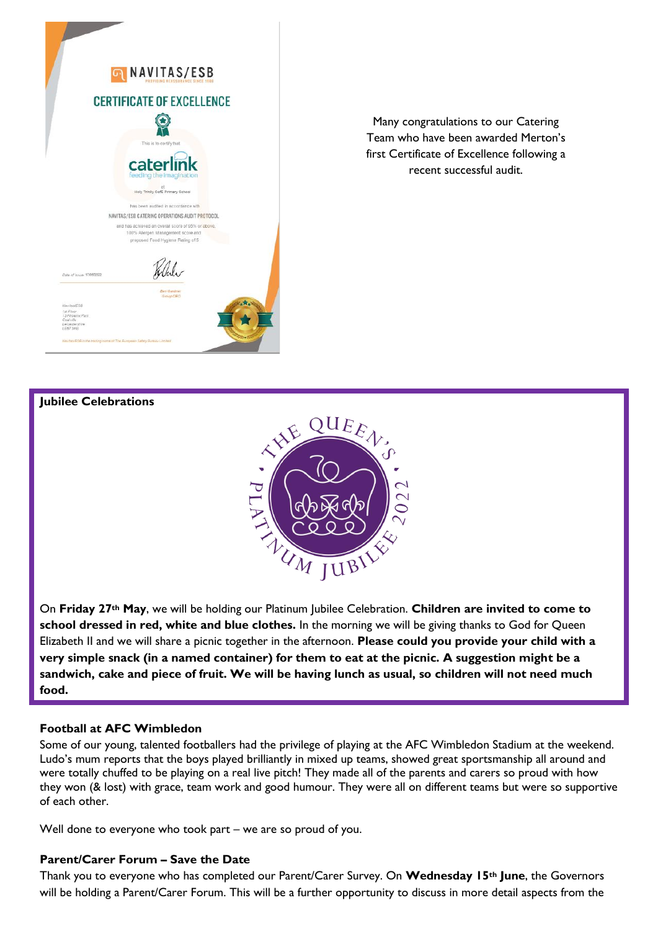

Many congratulations to our Catering Team who have been awarded Merton's first Certificate of Excellence following a recent successful audit.

#### **Jubilee Celebrations**



On **Friday 27th May**, we will be holding our Platinum Jubilee Celebration. **Children are invited to come to school dressed in red, white and blue clothes.** In the morning we will be giving thanks to God for Queen Elizabeth II and we will share a picnic together in the afternoon. **Please could you provide your child with a very simple snack (in a named container) for them to eat at the picnic. A suggestion might be a sandwich, cake and piece of fruit. We will be having lunch as usual, so children will not need much food.**

### **Football at AFC Wimbledon**

Some of our young, talented footballers had the privilege of playing at the AFC Wimbledon Stadium at the weekend. Ludo's mum reports that the boys played brilliantly in mixed up teams, showed great sportsmanship all around and were totally chuffed to be playing on a real live pitch! They made all of the parents and carers so proud with how they won (& lost) with grace, team work and good humour. They were all on different teams but were so supportive of each other.

Well done to everyone who took part – we are so proud of you.

#### **Parent/Carer Forum – Save the Date**

Thank you to everyone who has completed our Parent/Carer Survey. On **Wednesday 15th June**, the Governors will be holding a Parent/Carer Forum. This will be a further opportunity to discuss in more detail aspects from the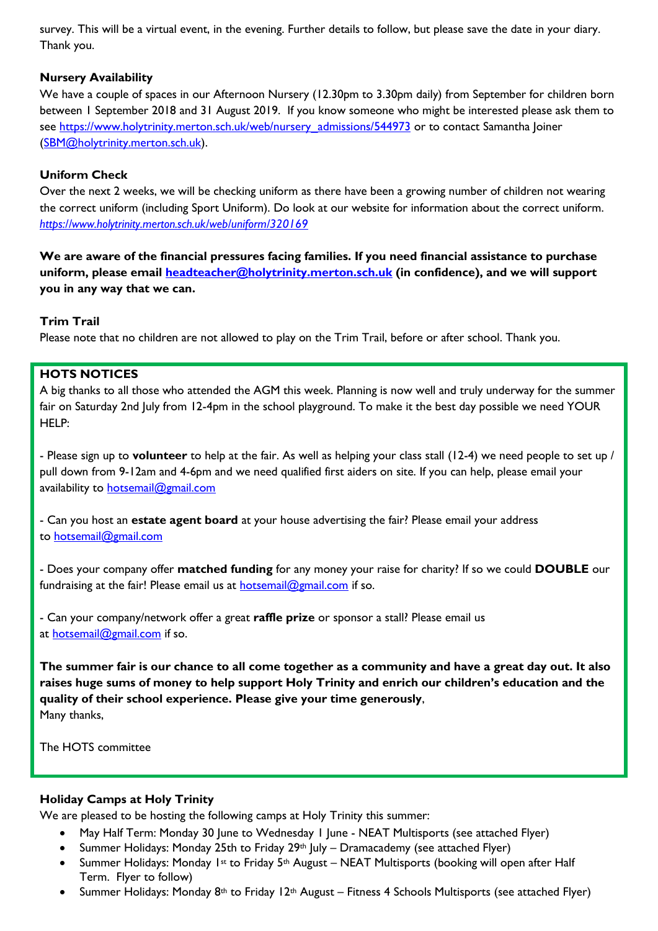survey. This will be a virtual event, in the evening. Further details to follow, but please save the date in your diary. Thank you.

## **Nursery Availability**

We have a couple of spaces in our Afternoon Nursery (12.30pm to 3.30pm daily) from September for children born between 1 September 2018 and 31 August 2019. If you know someone who might be interested please ask them to see [https://www.holytrinity.merton.sch.uk/web/nursery\\_admissions/544973](https://www.holytrinity.merton.sch.uk/web/nursery_admissions/544973) or to contact Samantha Joiner [\(SBM@holytrinity.merton.sch.uk\)](mailto:SBM@holytrinity.merton.sch.uk).

## **Uniform Check**

Over the next 2 weeks, we will be checking uniform as there have been a growing number of children not wearing the correct uniform (including Sport Uniform). Do look at our website for information about the correct uniform. *<https://www.holytrinity.merton.sch.uk/web/uniform/320169>*

**We are aware of the financial pressures facing families. If you need financial assistance to purchase uniform, please email [headteacher@holytrinity.merton.sch.uk](mailto:headteacher@holytrinity.merton.sch.uk) (in confidence), and we will support you in any way that we can.**

## **Trim Trail**

Please note that no children are not allowed to play on the Trim Trail, before or after school. Thank you.

## **HOTS NOTICES**

A big thanks to all those who attended the AGM this week. Planning is now well and truly underway for the summer fair on Saturday 2nd July from 12-4pm in the school playground. To make it the best day possible we need YOUR HFLP:

- Please sign up to **volunteer** to help at the fair. As well as helping your class stall (12-4) we need people to set up / pull down from 9-12am and 4-6pm and we need qualified first aiders on site. If you can help, please email your availability to **[hotsemail@gmail.com](mailto:hotsemail@gmail.com)** 

- Can you host an **estate agent board** at your house advertising the fair? Please email your address to [hotsemail@gmail.com](mailto:hotsemail@gmail.com)

- Does your company offer **matched funding** for any money your raise for charity? If so we could **DOUBLE** our fundraising at the fair! Please email us at  $hots$ email@gmail.com if so.

- Can your company/network offer a great **raffle prize** or sponsor a stall? Please email us at [hotsemail@gmail.com](mailto:hotsemail@gmail.com) if so.

**The summer fair is our chance to all come together as a community and have a great day out. It also raises huge sums of money to help support Holy Trinity and enrich our children's education and the quality of their school experience. Please give your time generously**, Many thanks,

The HOTS committee

### **Holiday Camps at Holy Trinity**

We are pleased to be hosting the following camps at Holy Trinity this summer:

- May Half Term: Monday 30 June to Wednesday 1 June NEAT Multisports (see attached Flyer)
- Summer Holidays: Monday 25th to Friday 29<sup>th</sup> July Dramacademy (see attached Flyer)
- Summer Holidays: Monday 1st to Friday 5<sup>th</sup> August NEAT Multisports (booking will open after Half Term. Flyer to follow)
- Summer Holidays: Monday  $8<sup>th</sup>$  to Friday 12<sup>th</sup> August Fitness 4 Schools Multisports (see attached Flyer)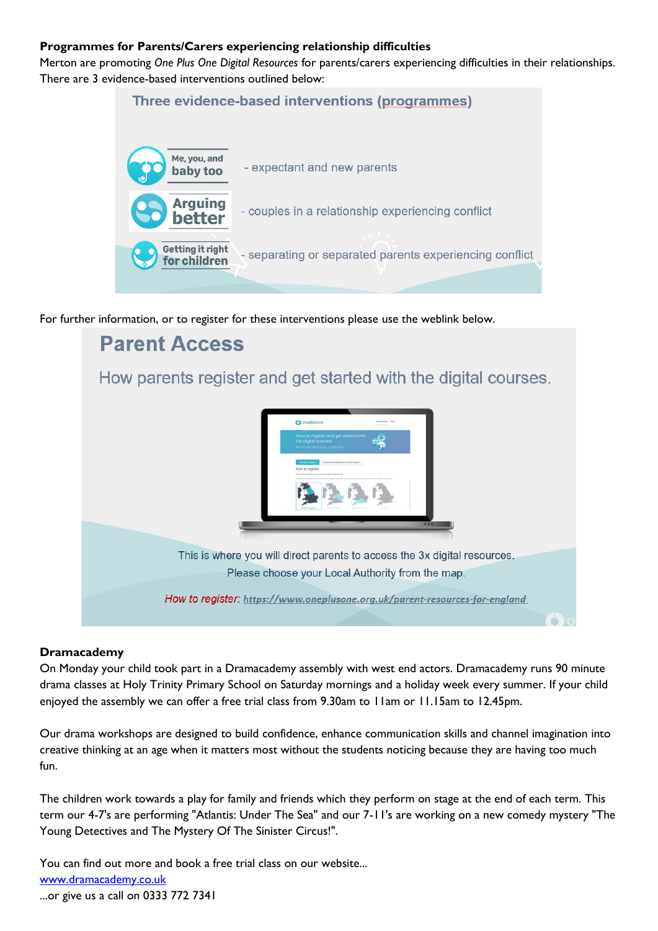### **Programmes for Parents/Carers experiencing relationship difficulties**

Merton are promoting *One Plus One Digital Resources* for parents/carers experiencing difficulties in their relationships. There are 3 evidence-based interventions outlined below:

## Three evidence-based interventions (programmes)



For further information, or to register for these interventions please use the weblink below.



### **Dramacademy**

On Monday your child took part in a Dramacademy assembly with west end actors. Dramacademy runs 90 minute drama classes at Holy Trinity Primary School on Saturday mornings and a holiday week every summer. If your child enjoyed the assembly we can offer a free trial class from 9.30am to 11am or 11.15am to 12.45pm.

Our drama workshops are designed to build confidence, enhance communication skills and channel imagination into creative thinking at an age when it matters most without the students noticing because they are having too much fun.

The children work towards a play for family and friends which they perform on stage at the end of each term. This term our 4-7's are performing "Atlantis: Under The Sea" and our 7-11's are working on a new comedy mystery "The Young Detectives and The Mystery Of The Sinister Circus!".

You can find out more and book a free trial class on our website... [www.dramacademy.co.uk](http://www.dramacademy.co.uk/) ...or give us a call on 0333 772 7341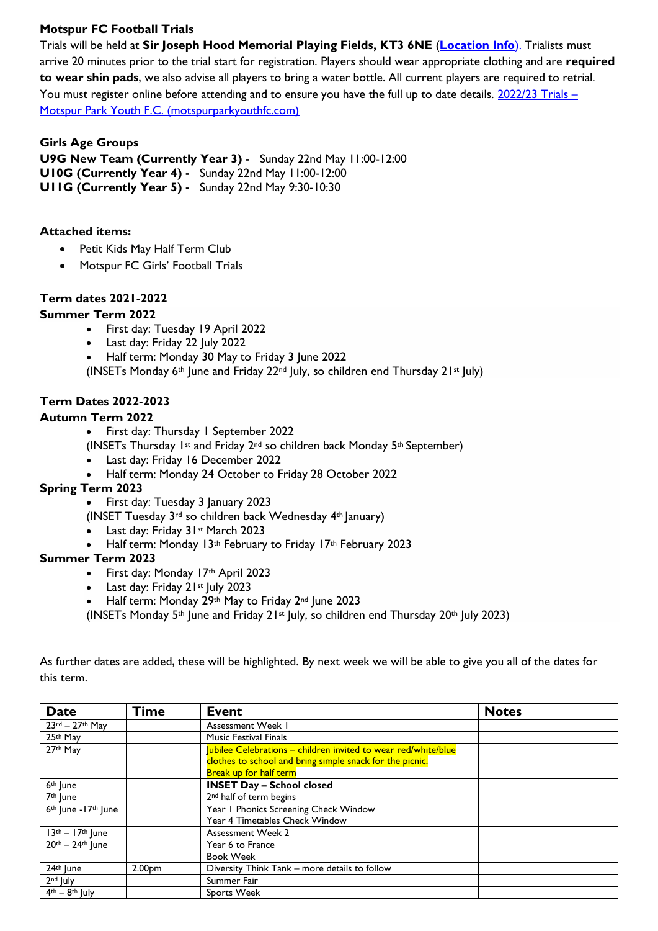## **Motspur FC Football Trials**

Trials will be held at **Sir Joseph Hood Memorial Playing Fields, KT3 6NE** (**[Location Info](https://motspurparkyouthfc.com/about-us/)**). Trialists must arrive 20 minutes prior to the trial start for registration. Players should wear appropriate clothing and are **required to wear shin pads**, we also advise all players to bring a water bottle. All current players are required to retrial. You must register online before attending and to ensure you have the full up to date details. [2022/23 Trials](https://motspurparkyouthfc.com/2022/02/2022-23-trials/) – [Motspur Park Youth F.C. \(motspurparkyouthfc.com\)](https://motspurparkyouthfc.com/2022/02/2022-23-trials/)

### **Girls Age Groups**

**U9G New Team (Currently Year 3) -** Sunday 22nd May 11:00-12:00 **U10G (Currently Year 4) -** Sunday 22nd May 11:00-12:00 **U11G (Currently Year 5) -** Sunday 22nd May 9:30-10:30

### **Attached items:**

- Petit Kids May Half Term Club
- Motspur FC Girls' Football Trials

### **Term dates 2021-2022**

### **Summer Term 2022**

- First day: Tuesday 19 April 2022
- Last day: Friday 22 July 2022
- Half term: Monday 30 May to Friday 3 June 2022

(INSETs Monday  $6<sup>th</sup>$  June and Friday 22<sup>nd</sup> July, so children end Thursday 21<sup>st</sup> July)

### **Term Dates 2022-2023**

### **Autumn Term 2022**

- First day: Thursday 1 September 2022
- (INSETs Thursday 1st and Friday 2nd so children back Monday 5th September)
- Last day: Friday 16 December 2022
- Half term: Monday 24 October to Friday 28 October 2022

### **Spring Term 2023**

- First day: Tuesday 3 January 2023
- (INSET Tuesday 3rd so children back Wednesday 4th January)
- Last day: Friday 31st March 2023
- Half term: Monday 13<sup>th</sup> February to Friday 17<sup>th</sup> February 2023

### **Summer Term 2023**

- First day: Monday 17th April 2023
- Last day: Friday 21st July 2023
- Half term: Monday 29th May to Friday 2<sup>nd</sup> June 2023
- (INSETs Monday 5<sup>th</sup> June and Friday 21<sup>st</sup> July, so children end Thursday 20<sup>th</sup> July 2023)

| <b>Date</b>                       | <b>Time</b>        | <b>Event</b>                                                   | <b>Notes</b> |
|-----------------------------------|--------------------|----------------------------------------------------------------|--------------|
| $23$ rd - $27$ th May             |                    | Assessment Week I                                              |              |
| 25th May                          |                    | <b>Music Festival Finals</b>                                   |              |
| 27th May                          |                    | Jubilee Celebrations - children invited to wear red/white/blue |              |
|                                   |                    | clothes to school and bring simple snack for the picnic.       |              |
|                                   |                    | <b>Break up for half term</b>                                  |              |
| 6 <sup>th</sup> June              |                    | <b>INSET Day - School closed</b>                               |              |
| 7 <sup>th</sup> June              |                    | 2 <sup>nd</sup> half of term begins                            |              |
| $6th$ June -17 <sup>th</sup> June |                    | Year I Phonics Screening Check Window                          |              |
|                                   |                    | Year 4 Timetables Check Window                                 |              |
| $13th - 17th$ June                |                    | <b>Assessment Week 2</b>                                       |              |
| 20th - 24th June                  |                    | Year 6 to France                                               |              |
|                                   |                    | <b>Book Week</b>                                               |              |
| 24th June                         | 2.00 <sub>pm</sub> | Diversity Think Tank - more details to follow                  |              |
| 2 <sup>nd</sup> July              |                    | Summer Fair                                                    |              |
| $4th - 8th$ July                  |                    | Sports Week                                                    |              |

As further dates are added, these will be highlighted. By next week we will be able to give you all of the dates for this term.